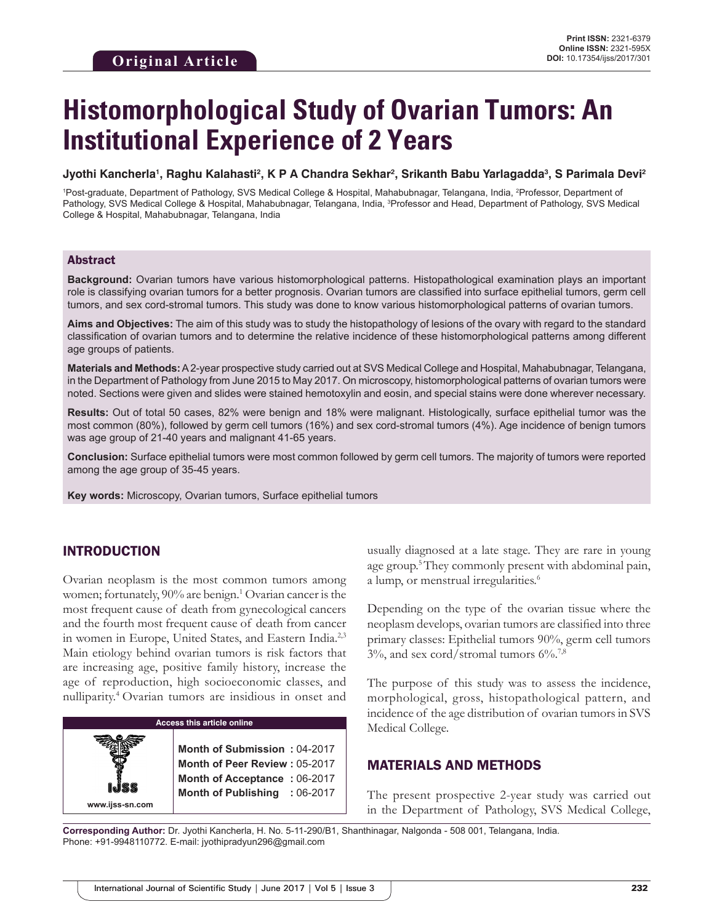# **Histomorphological Study of Ovarian Tumors: An Institutional Experience of 2 Years**

#### **Jyothi Kancherla1 , Raghu Kalahasti2 , K P A Chandra Sekhar2 , Srikanth Babu Yarlagadda3 , S Parimala Devi2**

<sup>1</sup>Post-graduate, Department of Pathology, SVS Medical College & Hospital, Mahabubnagar, Telangana, India, <sup>2</sup>Professor, Department of Pathology, SVS Medical College & Hospital, Mahabubnagar, Telangana, India, <sup>3</sup>Professor and Head, Department of Pathology, SVS Medical College & Hospital, Mahabubnagar, Telangana, India

## Abstract

**Background:** Ovarian tumors have various histomorphological patterns. Histopathological examination plays an important role is classifying ovarian tumors for a better prognosis. Ovarian tumors are classified into surface epithelial tumors, germ cell tumors, and sex cord-stromal tumors. This study was done to know various histomorphological patterns of ovarian tumors.

**Aims and Objectives:** The aim of this study was to study the histopathology of lesions of the ovary with regard to the standard classification of ovarian tumors and to determine the relative incidence of these histomorphological patterns among different age groups of patients.

**Materials and Methods:** A2-year prospective study carried out at SVS Medical College and Hospital, Mahabubnagar, Telangana, in the Department of Pathology from June 2015 to May 2017. On microscopy, histomorphological patterns of ovarian tumors were noted. Sections were given and slides were stained hemotoxylin and eosin, and special stains were done wherever necessary.

**Results:** Out of total 50 cases, 82% were benign and 18% were malignant. Histologically, surface epithelial tumor was the most common (80%), followed by germ cell tumors (16%) and sex cord-stromal tumors (4%). Age incidence of benign tumors was age group of 21-40 years and malignant 41-65 years.

**Conclusion:** Surface epithelial tumors were most common followed by germ cell tumors. The majority of tumors were reported among the age group of 35-45 years.

**Key words:** Microscopy, Ovarian tumors, Surface epithelial tumors

# INTRODUCTION

Ovarian neoplasm is the most common tumors among women; fortunately, 90% are benign.<sup>1</sup> Ovarian cancer is the most frequent cause of death from gynecological cancers and the fourth most frequent cause of death from cancer in women in Europe, United States, and Eastern India.2,3 Main etiology behind ovarian tumors is risk factors that are increasing age, positive family history, increase the age of reproduction, high socioeconomic classes, and nulliparity.4 Ovarian tumors are insidious in onset and



usually diagnosed at a late stage. They are rare in young age group.<sup>5</sup>They commonly present with abdominal pain, a lump, or menstrual irregularities.<sup>6</sup>

Depending on the type of the ovarian tissue where the neoplasm develops, ovarian tumors are classified into three primary classes: Epithelial tumors 90%, germ cell tumors  $3\%$ , and sex cord/stromal tumors  $6\%$ .<sup>7,8</sup>

The purpose of this study was to assess the incidence, morphological, gross, histopathological pattern, and incidence of the age distribution of ovarian tumors in SVS Medical College.

# MATERIALS AND METHODS

The present prospective 2-year study was carried out in the Department of Pathology, SVS Medical College,

**Corresponding Author:** Dr. Jyothi Kancherla, H. No. 5-11-290/B1, Shanthinagar, Nalgonda - 508 001, Telangana, India. Phone: +91-9948110772. E-mail: jyothipradyun296@gmail.com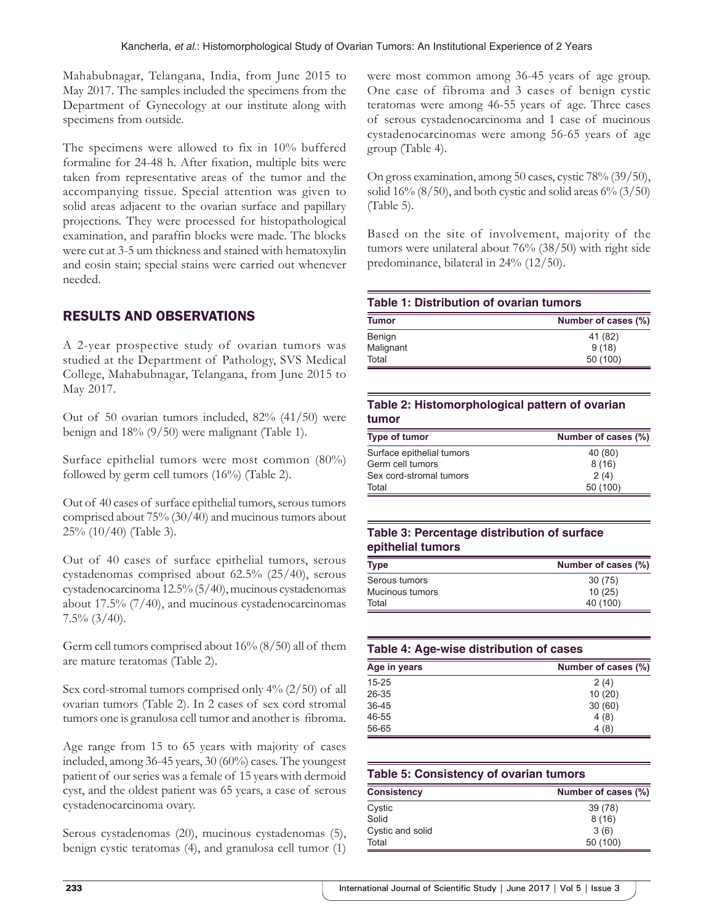Mahabubnagar, Telangana, India, from June 2015 to May 2017. The samples included the specimens from the Department of Gynecology at our institute along with specimens from outside.

The specimens were allowed to fix in 10% buffered formaline for 24-48 h. After fixation, multiple bits were taken from representative areas of the tumor and the accompanying tissue. Special attention was given to solid areas adjacent to the ovarian surface and papillary projections. They were processed for histopathological examination, and paraffin blocks were made. The blocks were cut at 3-5 um thickness and stained with hematoxylin and eosin stain; special stains were carried out whenever needed.

# RESULTS AND OBSERVATIONS

A 2-year prospective study of ovarian tumors was studied at the Department of Pathology, SVS Medical College, Mahabubnagar, Telangana, from June 2015 to May 2017.

Out of 50 ovarian tumors included, 82% (41/50) were benign and 18% (9/50) were malignant (Table 1).

Surface epithelial tumors were most common (80%) followed by germ cell tumors (16%) (Table 2).

Out of 40 cases of surface epithelial tumors, serous tumors comprised about 75% (30/40) and mucinous tumors about 25% (10/40) (Table 3).

Out of 40 cases of surface epithelial tumors, serous cystadenomas comprised about 62.5% (25/40), serous cystadenocarcinoma 12.5% (5/40), mucinous cystadenomas about 17.5% (7/40), and mucinous cystadenocarcinomas  $7.5\%$   $(3/40)$ .

Germ cell tumors comprised about 16% (8/50) all of them are mature teratomas (Table 2).

Sex cord-stromal tumors comprised only 4% (2/50) of all ovarian tumors (Table 2). In 2 cases of sex cord stromal tumors one is granulosa cell tumor and another is fibroma.

Age range from 15 to 65 years with majority of cases included, among 36-45 years, 30 (60%) cases. The youngest patient of our series was a female of 15 years with dermoid cyst, and the oldest patient was 65 years, a case of serous cystadenocarcinoma ovary.

Serous cystadenomas (20), mucinous cystadenomas (5), benign cystic teratomas (4), and granulosa cell tumor (1) were most common among 36-45 years of age group. One case of fibroma and 3 cases of benign cystic teratomas were among 46-55 years of age. Three cases of serous cystadenocarcinoma and 1 case of mucinous cystadenocarcinomas were among 56-65 years of age group (Table 4).

On gross examination, among 50 cases, cystic 78% (39/50), solid  $16\%$  (8/50), and both cystic and solid areas  $6\%$  (3/50) (Table 5).

Based on the site of involvement, majority of the tumors were unilateral about 76% (38/50) with right side predominance, bilateral in 24% (12/50).

| Table 1: Distribution of ovarian tumors |                     |  |  |
|-----------------------------------------|---------------------|--|--|
| <b>Tumor</b>                            | Number of cases (%) |  |  |
| Benign                                  | 41 (82)             |  |  |
| Malignant                               | 9(18)               |  |  |
| Total                                   | 50 (100)            |  |  |

#### **Table 2: Histomorphological pattern of ovarian tumor**

| Type of tumor             | Number of cases (%) |
|---------------------------|---------------------|
| Surface epithelial tumors | 40 (80)             |
| Germ cell tumors          | 8(16)               |
| Sex cord-stromal tumors   | 2(4)                |
| Total                     | 50 (100)            |

# **Table 3: Percentage distribution of surface epithelial tumors**

| Type            | Number of cases (%) |  |  |
|-----------------|---------------------|--|--|
| Serous tumors   | 30 (75)             |  |  |
| Mucinous tumors | 10(25)              |  |  |
| Total           | 40 (100)            |  |  |

| Table 4: Age-wise distribution of cases |                     |  |  |
|-----------------------------------------|---------------------|--|--|
| Age in years                            | Number of cases (%) |  |  |
| $15 - 25$                               | 2(4)                |  |  |
| 26-35                                   | 10(20)              |  |  |
| $36 - 45$                               | 30(60)              |  |  |
| 46-55                                   | 4(8)                |  |  |
| 56-65                                   | 4 (8)               |  |  |

| <b>Table 5: Consistency of ovarian tumors</b> |                     |  |  |  |
|-----------------------------------------------|---------------------|--|--|--|
| <b>Consistency</b>                            | Number of cases (%) |  |  |  |
| Cystic                                        | 39 (78)             |  |  |  |
| Solid                                         | 8(16)               |  |  |  |
| Cystic and solid                              | 3(6)                |  |  |  |
| Total                                         | 50 (100)            |  |  |  |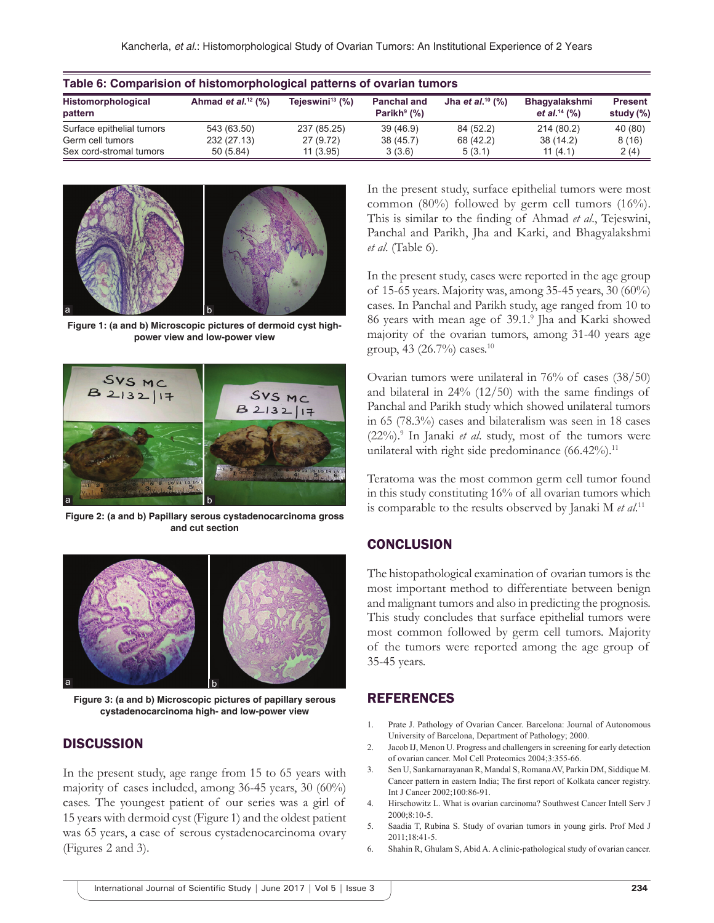| Table 6: Comparision of histomorphological patterns of ovarian tumors |                         |                             |                                                  |                                 |                                                    |                                |  |  |
|-----------------------------------------------------------------------|-------------------------|-----------------------------|--------------------------------------------------|---------------------------------|----------------------------------------------------|--------------------------------|--|--|
| Histomorphological<br>pattern                                         | Ahmad et $al.^{12}$ (%) | Tejeswini <sup>13</sup> (%) | <b>Panchal and</b><br>Parikh <sup>9</sup> $(\%)$ | Jha et al. <sup>10</sup> $(\%)$ | <b>Bhagyalakshmi</b><br>et al. <sup>14</sup> $(%)$ | <b>Present</b><br>study $(\%)$ |  |  |
| Surface epithelial tumors                                             | 543 (63.50)             | 237 (85.25)                 | 39(46.9)                                         | 84 (52.2)                       | 214 (80.2)                                         | 40 (80)                        |  |  |
| Germ cell tumors                                                      | 232 (27.13)             | 27 (9.72)                   | 38(45.7)                                         | 68 (42.2)                       | 38(14.2)                                           | 8(16)                          |  |  |
| Sex cord-stromal tumors                                               | 50(5.84)                | 11(3.95)                    | 3(3.6)                                           | 5(3.1)                          | 11(4.1)                                            | 2(4)                           |  |  |



**Figure 1: (a and b) Microscopic pictures of dermoid cyst highpower view and low-power view**



**Figure 2: (a and b) Papillary serous cystadenocarcinoma gross and cut section**



**Figure 3: (a and b) Microscopic pictures of papillary serous cystadenocarcinoma high- and low-power view**

## **DISCUSSION**

In the present study, age range from 15 to 65 years with majority of cases included, among 36-45 years, 30 (60%) cases. The youngest patient of our series was a girl of 15 years with dermoid cyst (Figure 1) and the oldest patient was 65 years, a case of serous cystadenocarcinoma ovary (Figures 2 and 3).

In the present study, surface epithelial tumors were most common (80%) followed by germ cell tumors (16%). This is similar to the finding of Ahmad *et al*., Tejeswini, Panchal and Parikh, Jha and Karki, and Bhagyalakshmi *et al*. (Table 6).

In the present study, cases were reported in the age group of 15-65 years. Majority was, among 35-45 years, 30 (60%) cases. In Panchal and Parikh study, age ranged from 10 to 86 years with mean age of 39.1.9 Jha and Karki showed majority of the ovarian tumors, among 31-40 years age group, 43 (26.7%) cases.10

Ovarian tumors were unilateral in 76% of cases (38/50) and bilateral in 24% (12/50) with the same findings of Panchal and Parikh study which showed unilateral tumors in 65 (78.3%) cases and bilateralism was seen in 18 cases (22%).9 In Janaki *et al*. study, most of the tumors were unilateral with right side predominance  $(66.42\%)$ .<sup>11</sup>

Teratoma was the most common germ cell tumor found in this study constituting 16% of all ovarian tumors which is comparable to the results observed by Janaki M *et al*. 11

#### **CONCLUSION**

The histopathological examination of ovarian tumors is the most important method to differentiate between benign and malignant tumors and also in predicting the prognosis. This study concludes that surface epithelial tumors were most common followed by germ cell tumors. Majority of the tumors were reported among the age group of 35-45 years.

## REFERENCES

- 1. Prate J. Pathology of Ovarian Cancer. Barcelona: Journal of Autonomous University of Barcelona, Department of Pathology; 2000.
- 2. Jacob IJ, Menon U. Progress and challengers in screening for early detection of ovarian cancer. Mol Cell Proteomics 2004;3:355-66.
- 3. Sen U, Sankarnarayanan R, Mandal S, Romana AV, Parkin DM, Siddique M. Cancer pattern in eastern India; The first report of Kolkata cancer registry. Int J Cancer 2002;100:86-91.
- 4. Hirschowitz L. What is ovarian carcinoma? Southwest Cancer Intell Serv J 2000;8:10-5.
- 5. Saadia T, Rubina S. Study of ovarian tumors in young girls. Prof Med J 2011;18:41-5.
- 6. Shahin R, Ghulam S, Abid A. A clinic-pathological study of ovarian cancer.